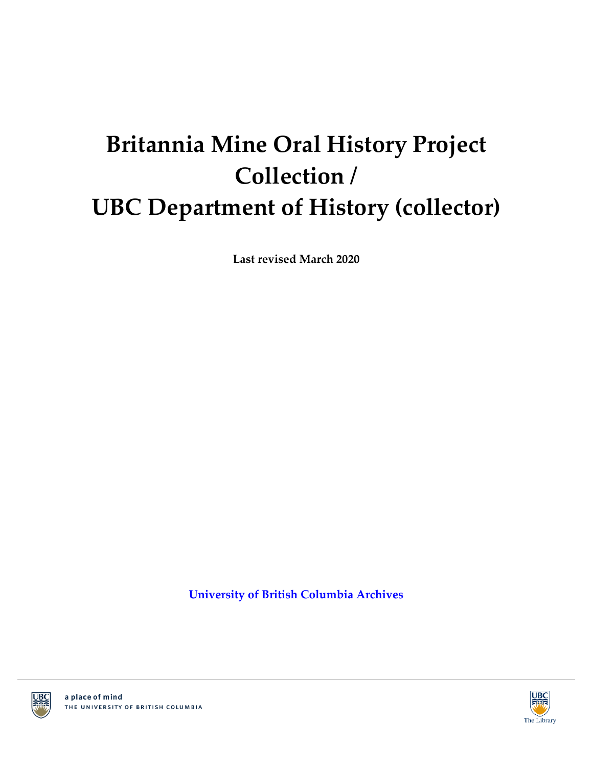# **Britannia Mine Oral History Project Collection / UBC Department of History (collector)**

**Last revised March 2020**

**[University of British Columbia Archives](http://www.library.ubc.ca/archives/)**



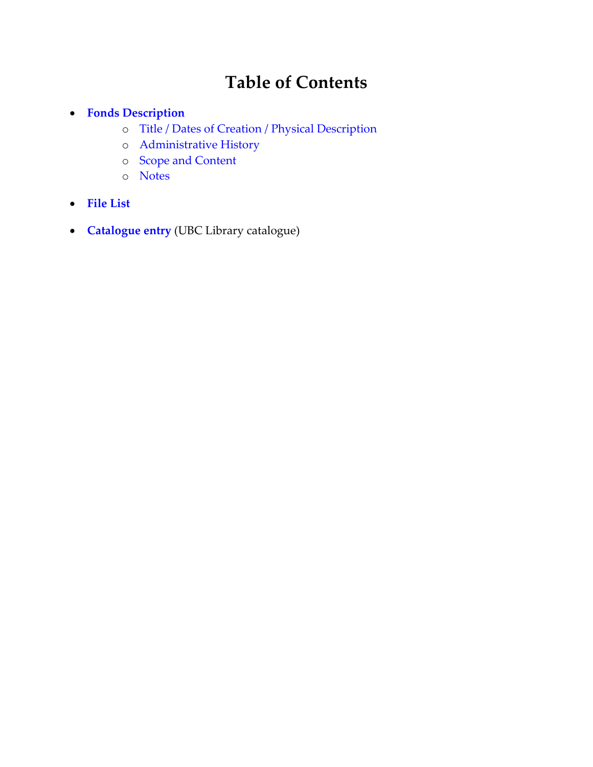# **Table of Contents**

- **Fonds [Description](#page-2-0)**
	- o [Title / Dates of Creation / Physical Description](#page-2-1)
	- o [Administrative History](#page-2-2)
	- o [Scope and Content](#page-2-3)
	- o Notes
- **[File List](#page-3-0)**
- **[Catalogue entry](http://resolve.library.ubc.ca/cgi-bin/catsearch?title=Britannia%2BMine%2BOral%2BHistory%2BProject%2BCollection)** (UBC Library catalogue)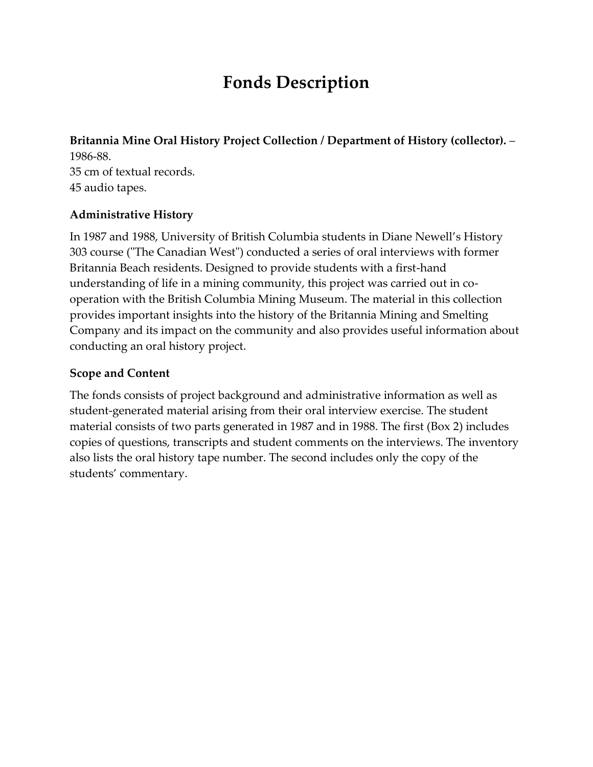# <span id="page-2-1"></span>**Fonds Description**

<span id="page-2-0"></span>**Britannia Mine Oral History Project Collection / Department of History (collector).** – 1986-88. 35 cm of textual records. 45 audio tapes.

#### <span id="page-2-2"></span>**Administrative History**

In 1987 and 1988, University of British Columbia students in Diane Newell's History 303 course ("The Canadian West") conducted a series of oral interviews with former Britannia Beach residents. Designed to provide students with a first-hand understanding of life in a mining community, this project was carried out in cooperation with the British Columbia Mining Museum. The material in this collection provides important insights into the history of the Britannia Mining and Smelting Company and its impact on the community and also provides useful information about conducting an oral history project.

#### <span id="page-2-3"></span>**Scope and Content**

The fonds consists of project background and administrative information as well as student-generated material arising from their oral interview exercise. The student material consists of two parts generated in 1987 and in 1988. The first (Box 2) includes copies of questions, transcripts and student comments on the interviews. The inventory also lists the oral history tape number. The second includes only the copy of the students' commentary.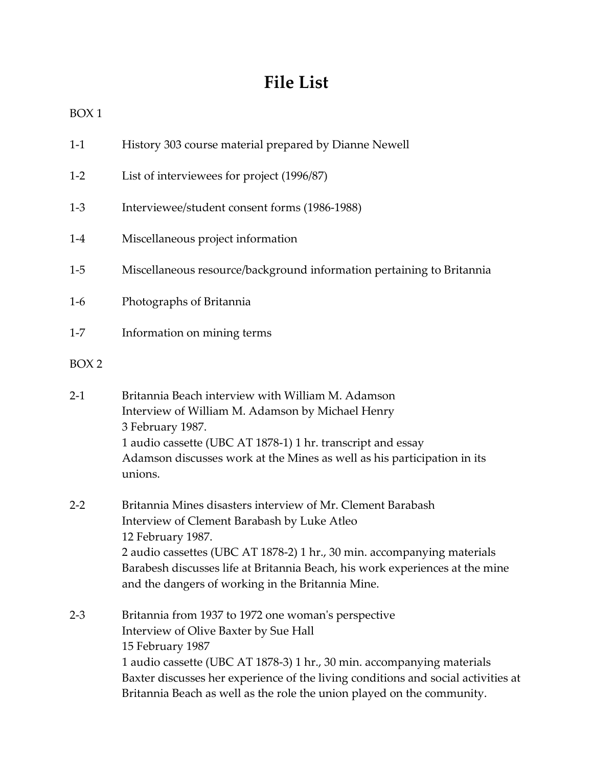# **File List**

<span id="page-3-0"></span>

| $1-1$ |  | History 303 course material prepared by Dianne Newell |
|-------|--|-------------------------------------------------------|
|       |  |                                                       |

- 1-2 List of interviewees for project (1996/87)
- 1-3 Interviewee/student consent forms (1986-1988)
- 1-4 Miscellaneous project information
- 1-5 Miscellaneous resource/background information pertaining to Britannia
- 1-6 Photographs of Britannia
- 1-7 Information on mining terms
- BOX 2
- 2-1 Britannia Beach interview with William M. Adamson Interview of William M. Adamson by Michael Henry 3 February 1987. 1 audio cassette (UBC AT 1878-1) 1 hr. transcript and essay Adamson discusses work at the Mines as well as his participation in its unions.
- 2-2 Britannia Mines disasters interview of Mr. Clement Barabash Interview of Clement Barabash by Luke Atleo 12 February 1987. 2 audio cassettes (UBC AT 1878-2) 1 hr., 30 min. accompanying materials Barabesh discusses life at Britannia Beach, his work experiences at the mine and the dangers of working in the Britannia Mine.
- 2-3 Britannia from 1937 to 1972 one woman's perspective Interview of Olive Baxter by Sue Hall 15 February 1987 1 audio cassette (UBC AT 1878-3) 1 hr., 30 min. accompanying materials Baxter discusses her experience of the living conditions and social activities at Britannia Beach as well as the role the union played on the community.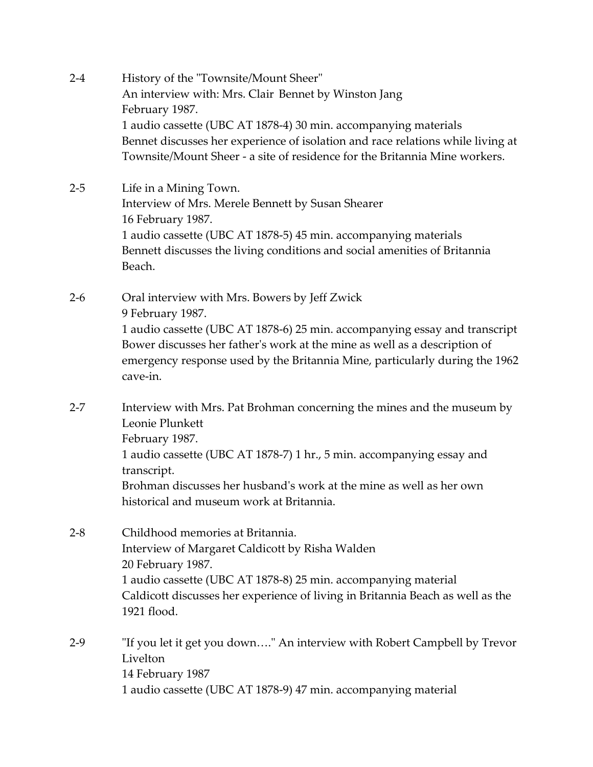- 2-4 History of the "Townsite/Mount Sheer" An interview with: Mrs. Clair Bennet by Winston Jang February 1987. 1 audio cassette (UBC AT 1878-4) 30 min. accompanying materials Bennet discusses her experience of isolation and race relations while living at Townsite/Mount Sheer - a site of residence for the Britannia Mine workers.
- 2-5 Life in a Mining Town. Interview of Mrs. Merele Bennett by Susan Shearer 16 February 1987. 1 audio cassette (UBC AT 1878-5) 45 min. accompanying materials Bennett discusses the living conditions and social amenities of Britannia Beach.
- 2-6 Oral interview with Mrs. Bowers by Jeff Zwick 9 February 1987. 1 audio cassette (UBC AT 1878-6) 25 min. accompanying essay and transcript Bower discusses her father's work at the mine as well as a description of emergency response used by the Britannia Mine, particularly during the 1962 cave-in.
- 2-7 Interview with Mrs. Pat Brohman concerning the mines and the museum by Leonie Plunkett February 1987. 1 audio cassette (UBC AT 1878-7) 1 hr., 5 min. accompanying essay and transcript. Brohman discusses her husband's work at the mine as well as her own historical and museum work at Britannia.
- 2-8 Childhood memories at Britannia. Interview of Margaret Caldicott by Risha Walden 20 February 1987. 1 audio cassette (UBC AT 1878-8) 25 min. accompanying material Caldicott discusses her experience of living in Britannia Beach as well as the 1921 flood.
- 2-9 "If you let it get you down…." An interview with Robert Campbell by Trevor Livelton 14 February 1987 1 audio cassette (UBC AT 1878-9) 47 min. accompanying material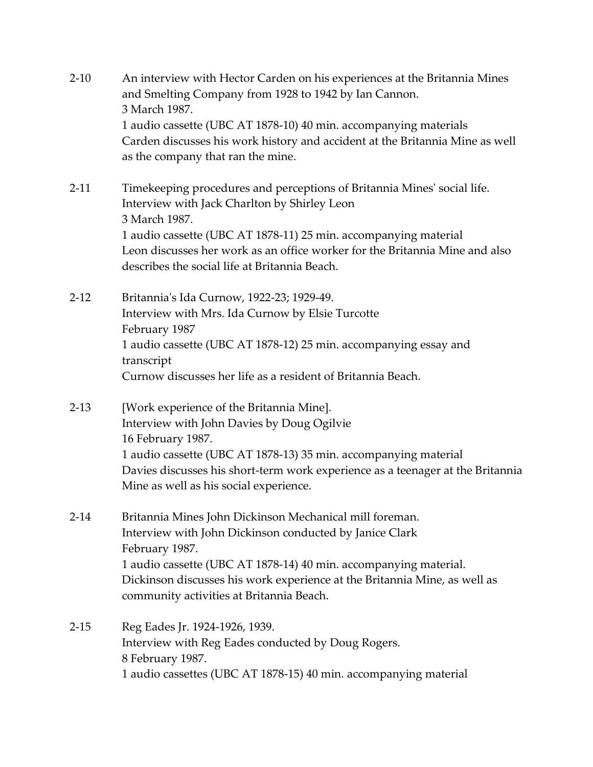- 2-10 An interview with Hector Carden on his experiences at the Britannia Mines and Smelting Company from 1928 to 1942 by Ian Cannon. 3 March 1987. 1 audio cassette (UBC AT 1878-10) 40 min. accompanying materials Carden discusses his work history and accident at the Britannia Mine as well as the company that ran the mine.
- 2-11 Timekeeping procedures and perceptions of Britannia Mines' social life. Interview with Jack Charlton by Shirley Leon 3 March 1987. 1 audio cassette (UBC AT 1878-11) 25 min. accompanying material Leon discusses her work as an office worker for the Britannia Mine and also describes the social life at Britannia Beach.
- 2-12 Britannia's Ida Curnow, 1922-23; 1929-49. Interview with Mrs. Ida Curnow by Elsie Turcotte February 1987 1 audio cassette (UBC AT 1878-12) 25 min. accompanying essay and transcript Curnow discusses her life as a resident of Britannia Beach.
- 2-13 [Work experience of the Britannia Mine]. Interview with John Davies by Doug Ogilvie 16 February 1987. 1 audio cassette (UBC AT 1878-13) 35 min. accompanying material Davies discusses his short-term work experience as a teenager at the Britannia Mine as well as his social experience.
- 2-14 Britannia Mines John Dickinson Mechanical mill foreman. Interview with John Dickinson conducted by Janice Clark February 1987. 1 audio cassette (UBC AT 1878-14) 40 min. accompanying material. Dickinson discusses his work experience at the Britannia Mine, as well as community activities at Britannia Beach.

### 2-15 Reg Eades Jr. 1924-1926, 1939. Interview with Reg Eades conducted by Doug Rogers. 8 February 1987. 1 audio cassettes (UBC AT 1878-15) 40 min. accompanying material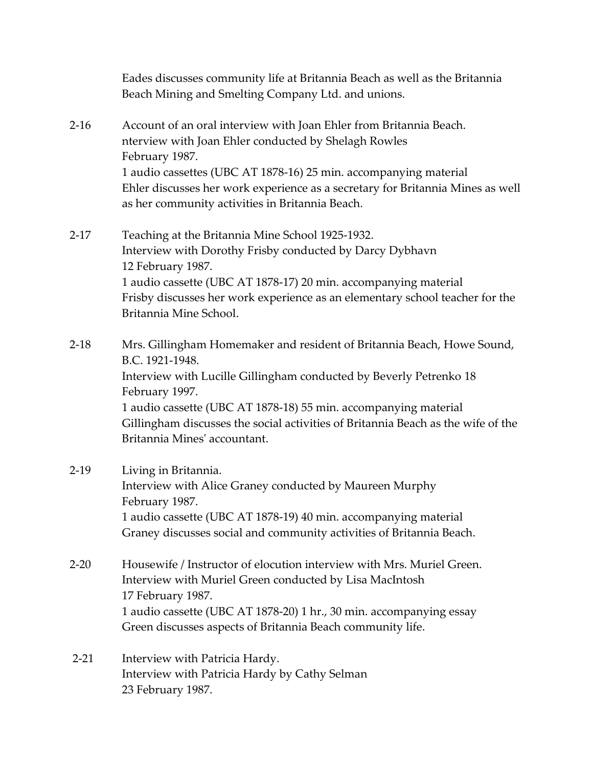Eades discusses community life at Britannia Beach as well as the Britannia Beach Mining and Smelting Company Ltd. and unions.

- 2-16 Account of an oral interview with Joan Ehler from Britannia Beach. nterview with Joan Ehler conducted by Shelagh Rowles February 1987. 1 audio cassettes (UBC AT 1878-16) 25 min. accompanying material Ehler discusses her work experience as a secretary for Britannia Mines as well as her community activities in Britannia Beach.
- 2-17 Teaching at the Britannia Mine School 1925-1932. Interview with Dorothy Frisby conducted by Darcy Dybhavn 12 February 1987. 1 audio cassette (UBC AT 1878-17) 20 min. accompanying material Frisby discusses her work experience as an elementary school teacher for the Britannia Mine School.

2-18 Mrs. Gillingham Homemaker and resident of Britannia Beach, Howe Sound, B.C. 1921-1948. Interview with Lucille Gillingham conducted by Beverly Petrenko 18 February 1997. 1 audio cassette (UBC AT 1878-18) 55 min. accompanying material Gillingham discusses the social activities of Britannia Beach as the wife of the Britannia Mines' accountant.

### 2-19 Living in Britannia. Interview with Alice Graney conducted by Maureen Murphy February 1987. 1 audio cassette (UBC AT 1878-19) 40 min. accompanying material Graney discusses social and community activities of Britannia Beach.

- 2-20 Housewife / Instructor of elocution interview with Mrs. Muriel Green. Interview with Muriel Green conducted by Lisa MacIntosh 17 February 1987. 1 audio cassette (UBC AT 1878-20) 1 hr., 30 min. accompanying essay Green discusses aspects of Britannia Beach community life.
- 2-21 Interview with Patricia Hardy. Interview with Patricia Hardy by Cathy Selman 23 February 1987.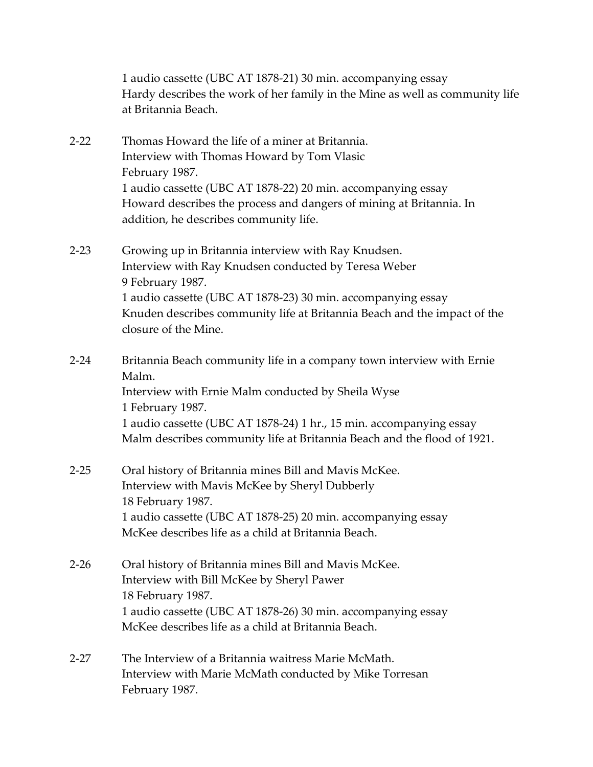1 audio cassette (UBC AT 1878-21) 30 min. accompanying essay Hardy describes the work of her family in the Mine as well as community life at Britannia Beach.

- 2-22 Thomas Howard the life of a miner at Britannia. Interview with Thomas Howard by Tom Vlasic February 1987. 1 audio cassette (UBC AT 1878-22) 20 min. accompanying essay Howard describes the process and dangers of mining at Britannia. In addition, he describes community life.
- 2-23 Growing up in Britannia interview with Ray Knudsen. Interview with Ray Knudsen conducted by Teresa Weber 9 February 1987. 1 audio cassette (UBC AT 1878-23) 30 min. accompanying essay Knuden describes community life at Britannia Beach and the impact of the closure of the Mine.
- 2-24 Britannia Beach community life in a company town interview with Ernie Malm. Interview with Ernie Malm conducted by Sheila Wyse 1 February 1987. 1 audio cassette (UBC AT 1878-24) 1 hr., 15 min. accompanying essay Malm describes community life at Britannia Beach and the flood of 1921.
- 2-25 Oral history of Britannia mines Bill and Mavis McKee. Interview with Mavis McKee by Sheryl Dubberly 18 February 1987. 1 audio cassette (UBC AT 1878-25) 20 min. accompanying essay McKee describes life as a child at Britannia Beach.
- 2-26 Oral history of Britannia mines Bill and Mavis McKee. Interview with Bill McKee by Sheryl Pawer 18 February 1987. 1 audio cassette (UBC AT 1878-26) 30 min. accompanying essay McKee describes life as a child at Britannia Beach.
- 2-27 The Interview of a Britannia waitress Marie McMath. Interview with Marie McMath conducted by Mike Torresan February 1987.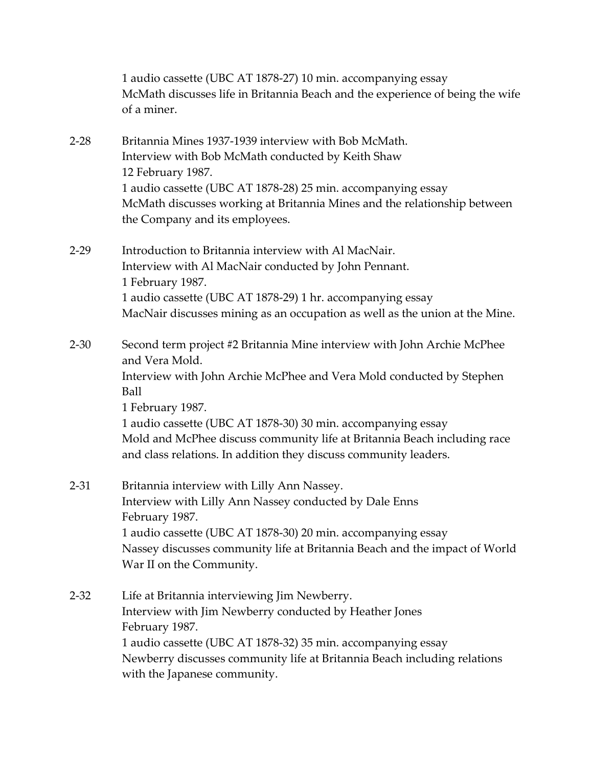1 audio cassette (UBC AT 1878-27) 10 min. accompanying essay McMath discusses life in Britannia Beach and the experience of being the wife of a miner.

- 2-28 Britannia Mines 1937-1939 interview with Bob McMath. Interview with Bob McMath conducted by Keith Shaw 12 February 1987. 1 audio cassette (UBC AT 1878-28) 25 min. accompanying essay McMath discusses working at Britannia Mines and the relationship between the Company and its employees.
- 2-29 Introduction to Britannia interview with Al MacNair. Interview with Al MacNair conducted by John Pennant. 1 February 1987. 1 audio cassette (UBC AT 1878-29) 1 hr. accompanying essay MacNair discusses mining as an occupation as well as the union at the Mine.
- 2-30 Second term project #2 Britannia Mine interview with John Archie McPhee and Vera Mold. Interview with John Archie McPhee and Vera Mold conducted by Stephen Ball 1 February 1987. 1 audio cassette (UBC AT 1878-30) 30 min. accompanying essay Mold and McPhee discuss community life at Britannia Beach including race and class relations. In addition they discuss community leaders.

### 2-31 Britannia interview with Lilly Ann Nassey. Interview with Lilly Ann Nassey conducted by Dale Enns February 1987. 1 audio cassette (UBC AT 1878-30) 20 min. accompanying essay Nassey discusses community life at Britannia Beach and the impact of World War II on the Community.

2-32 Life at Britannia interviewing Jim Newberry. Interview with Jim Newberry conducted by Heather Jones February 1987. 1 audio cassette (UBC AT 1878-32) 35 min. accompanying essay Newberry discusses community life at Britannia Beach including relations with the Japanese community.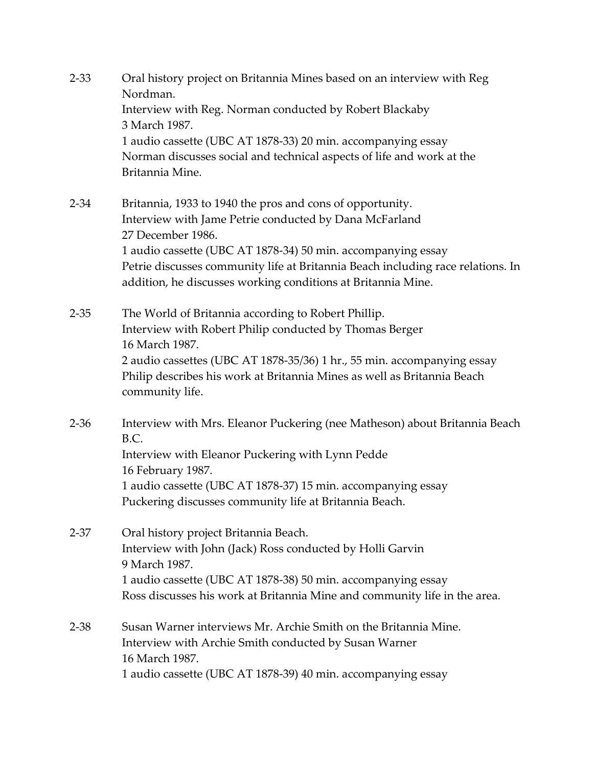- 2-33 Oral history project on Britannia Mines based on an interview with Reg Nordman. Interview with Reg. Norman conducted by Robert Blackaby 3 March 1987. 1 audio cassette (UBC AT 1878-33) 20 min. accompanying essay Norman discusses social and technical aspects of life and work at the Britannia Mine.
- 2-34 Britannia, 1933 to 1940 the pros and cons of opportunity. Interview with Jame Petrie conducted by Dana McFarland 27 December 1986. 1 audio cassette (UBC AT 1878-34) 50 min. accompanying essay Petrie discusses community life at Britannia Beach including race relations. In addition, he discusses working conditions at Britannia Mine.
- 2-35 The World of Britannia according to Robert Phillip. Interview with Robert Philip conducted by Thomas Berger 16 March 1987. 2 audio cassettes (UBC AT 1878-35/36) 1 hr., 55 min. accompanying essay Philip describes his work at Britannia Mines as well as Britannia Beach community life.
- 2-36 Interview with Mrs. Eleanor Puckering (nee Matheson) about Britannia Beach B.C. Interview with Eleanor Puckering with Lynn Pedde 16 February 1987. 1 audio cassette (UBC AT 1878-37) 15 min. accompanying essay Puckering discusses community life at Britannia Beach.
- 2-37 Oral history project Britannia Beach. Interview with John (Jack) Ross conducted by Holli Garvin 9 March 1987. 1 audio cassette (UBC AT 1878-38) 50 min. accompanying essay Ross discusses his work at Britannia Mine and community life in the area.
- 2-38 Susan Warner interviews Mr. Archie Smith on the Britannia Mine. Interview with Archie Smith conducted by Susan Warner 16 March 1987. 1 audio cassette (UBC AT 1878-39) 40 min. accompanying essay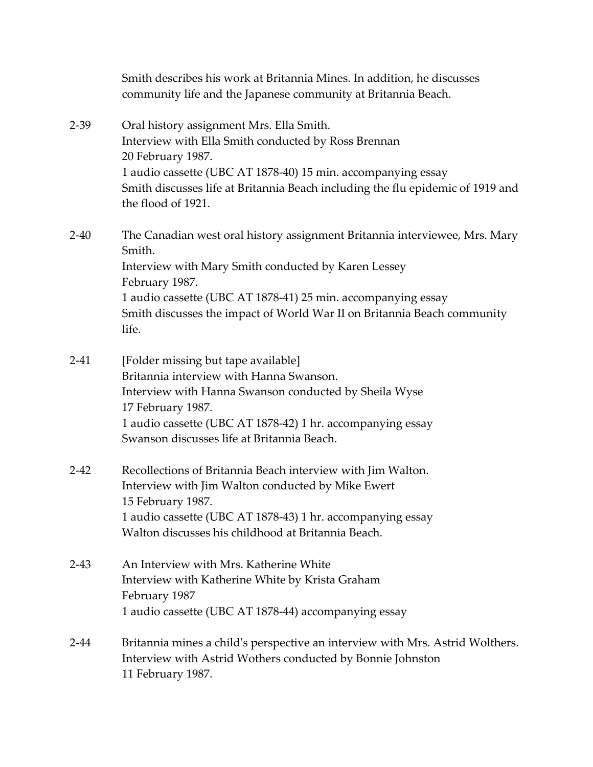Smith describes his work at Britannia Mines. In addition, he discusses community life and the Japanese community at Britannia Beach.

- 2-39 Oral history assignment Mrs. Ella Smith. Interview with Ella Smith conducted by Ross Brennan 20 February 1987. 1 audio cassette (UBC AT 1878-40) 15 min. accompanying essay Smith discusses life at Britannia Beach including the flu epidemic of 1919 and the flood of 1921.
- 2-40 The Canadian west oral history assignment Britannia interviewee, Mrs. Mary Smith. Interview with Mary Smith conducted by Karen Lessey February 1987. 1 audio cassette (UBC AT 1878-41) 25 min. accompanying essay Smith discusses the impact of World War II on Britannia Beach community life.
- 2-41 [Folder missing but tape available] Britannia interview with Hanna Swanson. Interview with Hanna Swanson conducted by Sheila Wyse 17 February 1987. 1 audio cassette (UBC AT 1878-42) 1 hr. accompanying essay Swanson discusses life at Britannia Beach.
- 2-42 Recollections of Britannia Beach interview with Jim Walton. Interview with Jim Walton conducted by Mike Ewert 15 February 1987. 1 audio cassette (UBC AT 1878-43) 1 hr. accompanying essay Walton discusses his childhood at Britannia Beach.
- 2-43 An Interview with Mrs. Katherine White Interview with Katherine White by Krista Graham February 1987 1 audio cassette (UBC AT 1878-44) accompanying essay
- 2-44 Britannia mines a child's perspective an interview with Mrs. Astrid Wolthers. Interview with Astrid Wothers conducted by Bonnie Johnston 11 February 1987.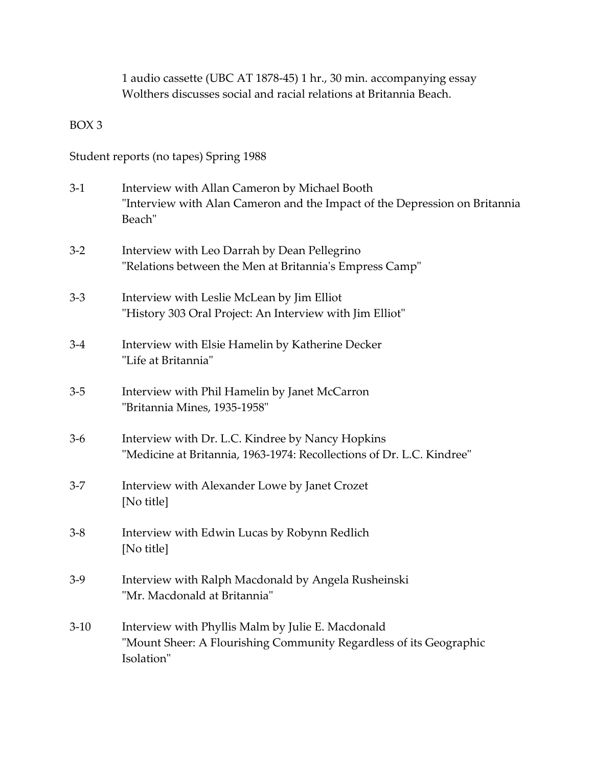1 audio cassette (UBC AT 1878-45) 1 hr., 30 min. accompanying essay Wolthers discusses social and racial relations at Britannia Beach.

BOX 3

Student reports (no tapes) Spring 1988

| $3-1$   | Interview with Allan Cameron by Michael Booth<br>"Interview with Alan Cameron and the Impact of the Depression on Britannia<br>Beach" |
|---------|---------------------------------------------------------------------------------------------------------------------------------------|
| $3-2$   | Interview with Leo Darrah by Dean Pellegrino<br>"Relations between the Men at Britannia's Empress Camp"                               |
| $3 - 3$ | Interview with Leslie McLean by Jim Elliot<br>"History 303 Oral Project: An Interview with Jim Elliot"                                |
| $3-4$   | Interview with Elsie Hamelin by Katherine Decker<br>"Life at Britannia"                                                               |
| $3-5$   | Interview with Phil Hamelin by Janet McCarron<br>"Britannia Mines, 1935-1958"                                                         |
| $3-6$   | Interview with Dr. L.C. Kindree by Nancy Hopkins<br>"Medicine at Britannia, 1963-1974: Recollections of Dr. L.C. Kindree"             |
| $3 - 7$ | Interview with Alexander Lowe by Janet Crozet<br>[No title]                                                                           |
| $3 - 8$ | Interview with Edwin Lucas by Robynn Redlich<br>[No title]                                                                            |
| $3-9$   | Interview with Ralph Macdonald by Angela Rusheinski<br>"Mr. Macdonald at Britannia"                                                   |
| $3-10$  | Interview with Phyllis Malm by Julie E. Macdonald<br>"Mount Sheer: A Flourishing Community Regardless of its Geographic<br>Isolation" |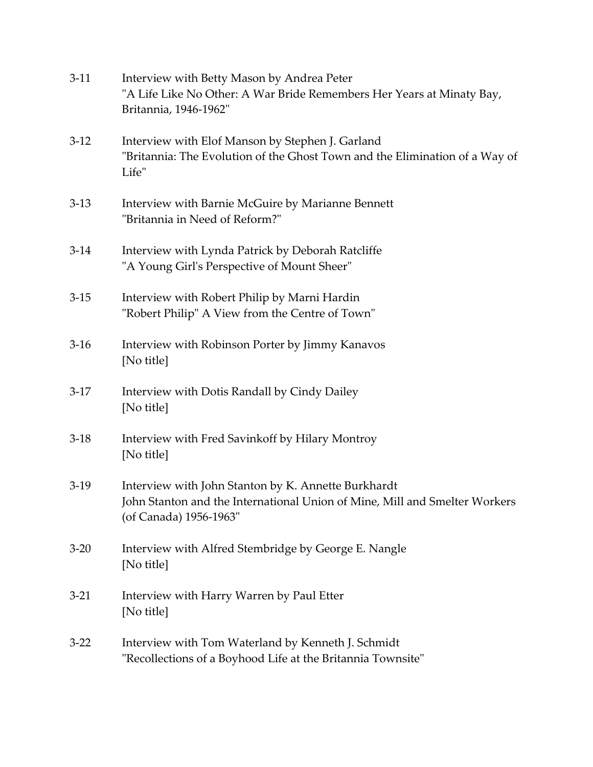| $3-11$ | Interview with Betty Mason by Andrea Peter<br>"A Life Like No Other: A War Bride Remembers Her Years at Minaty Bay,<br>Britannia, 1946-1962"                |
|--------|-------------------------------------------------------------------------------------------------------------------------------------------------------------|
| $3-12$ | Interview with Elof Manson by Stephen J. Garland<br>"Britannia: The Evolution of the Ghost Town and the Elimination of a Way of<br>Life"                    |
| $3-13$ | Interview with Barnie McGuire by Marianne Bennett<br>"Britannia in Need of Reform?"                                                                         |
| $3-14$ | Interview with Lynda Patrick by Deborah Ratcliffe<br>"A Young Girl's Perspective of Mount Sheer"                                                            |
| $3-15$ | Interview with Robert Philip by Marni Hardin<br>"Robert Philip" A View from the Centre of Town"                                                             |
| $3-16$ | Interview with Robinson Porter by Jimmy Kanavos<br>[No title]                                                                                               |
| $3-17$ | Interview with Dotis Randall by Cindy Dailey<br>[No title]                                                                                                  |
| $3-18$ | Interview with Fred Savinkoff by Hilary Montroy<br>[No title]                                                                                               |
| $3-19$ | Interview with John Stanton by K. Annette Burkhardt<br>John Stanton and the International Union of Mine, Mill and Smelter Workers<br>(of Canada) 1956-1963" |
| $3-20$ | Interview with Alfred Stembridge by George E. Nangle<br>[No title]                                                                                          |
| $3-21$ | Interview with Harry Warren by Paul Etter<br>[No title]                                                                                                     |
| $3-22$ | Interview with Tom Waterland by Kenneth J. Schmidt<br>"Recollections of a Boyhood Life at the Britannia Townsite"                                           |